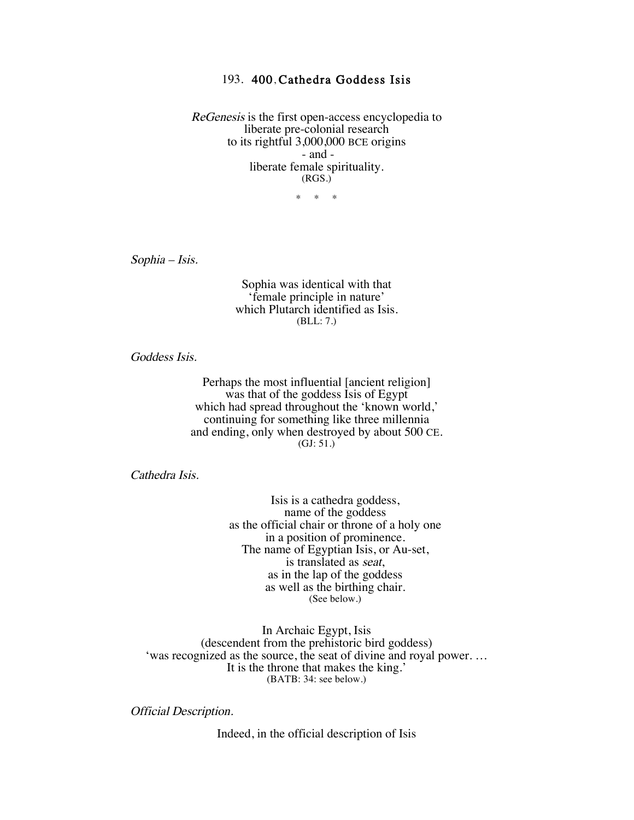## 193. 400, Cathedra Goddess Isis

ReGenesis is the first open-access encyclopedia to liberate pre-colonial research to its rightful 3,000,000 BCE origins - and liberate female spirituality. (RGS.)

\* \* \*

Sophia – Isis.

Sophia was identical with that 'female principle in nature' which Plutarch identified as Isis. (BLL: 7.)

Goddess Isis.

Perhaps the most influential [ancient religion] was that of the goddess Isis of Egypt which had spread throughout the 'known world,' continuing for something like three millennia and ending, only when destroyed by about 500 CE.  $(GJ: 51.)$ 

Cathedra Isis.

Isis is a cathedra goddess, name of the goddess as the official chair or throne of a holy one in a position of prominence. The name of Egyptian Isis, or Au-set, is translated as seat, as in the lap of the goddess as well as the birthing chair. (See below.)

In Archaic Egypt, Isis (descendent from the prehistoric bird goddess) 'was recognized as the source, the seat of divine and royal power. … It is the throne that makes the king.' (BATB: 34: see below.)

Official Description.

Indeed, in the official description of Isis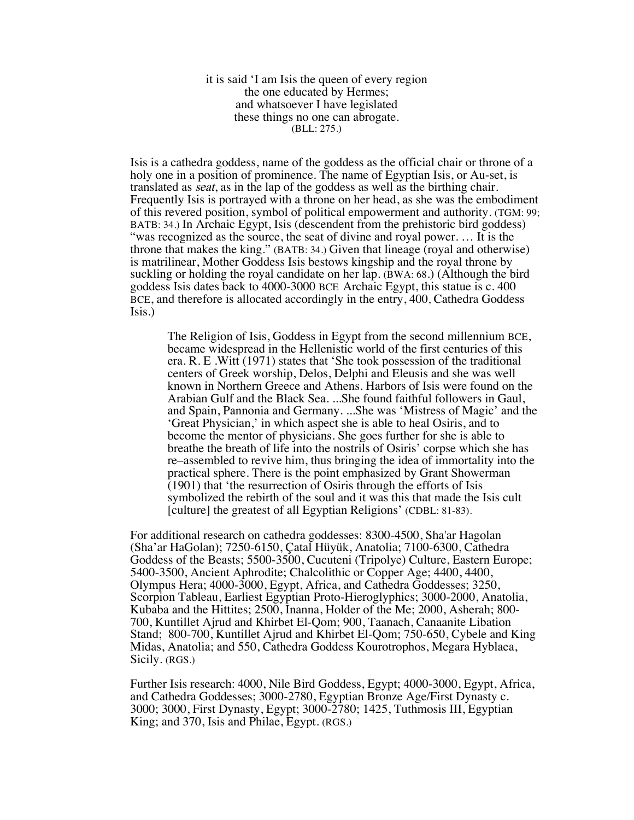it is said 'I am Isis the queen of every region the one educated by Hermes; and whatsoever I have legislated these things no one can abrogate. (BLL: 275.)

Isis is a cathedra goddess, name of the goddess as the official chair or throne of a holy one in a position of prominence. The name of Egyptian Isis, or Au-set, is translated as seat, as in the lap of the goddess as well as the birthing chair. Frequently Isis is portrayed with a throne on her head, as she was the embodiment of this revered position, symbol of political empowerment and authority. (TGM: 99; BATB: 34.) In Archaic Egypt, Isis (descendent from the prehistoric bird goddess) "was recognized as the source, the seat of divine and royal power. … It is the throne that makes the king." (BATB: 34.) Given that lineage (royal and otherwise) is matrilinear, Mother Goddess Isis bestows kingship and the royal throne by suckling or holding the royal candidate on her lap. (BWA: 68.) (Although the bird goddess Isis dates back to 4000-3000 BCE Archaic Egypt, this statue is c. 400 BCE, and therefore is allocated accordingly in the entry, 400, Cathedra Goddess Isis.)

The Religion of Isis, Goddess in Egypt from the second millennium BCE, became widespread in the Hellenistic world of the first centuries of this era. R. E .Witt (1971) states that 'She took possession of the traditional centers of Greek worship, Delos, Delphi and Eleusis and she was well known in Northern Greece and Athens. Harbors of Isis were found on the Arabian Gulf and the Black Sea. ...She found faithful followers in Gaul, and Spain, Pannonia and Germany. ...She was 'Mistress of Magic' and the 'Great Physician,' in which aspect she is able to heal Osiris, and to become the mentor of physicians. She goes further for she is able to breathe the breath of life into the nostrils of Osiris' corpse which she has re–assembled to revive him, thus bringing the idea of immortality into the practical sphere. There is the point emphasized by Grant Showerman (1901) that 'the resurrection of Osiris through the efforts of Isis symbolized the rebirth of the soul and it was this that made the Isis cult [culture] the greatest of all Egyptian Religions' (CDBL: 81-83).

For additional research on cathedra goddesses: 8300-4500, Sha'ar Hagolan (Sha'ar HaGolan); 7250-6150, Çatal Hüyük, Anatolia; 7100-6300, Cathedra Goddess of the Beasts; 5500-3500, Cucuteni (Tripolye) Culture, Eastern Europe; 5400-3500, Ancient Aphrodite; Chalcolithic or Copper Age; 4400, 4400, Olympus Hera; 4000-3000, Egypt, Africa, and Cathedra Goddesses; 3250, Scorpion Tableau, Earliest Egyptian Proto-Hieroglyphics; 3000-2000, Anatolia, Kubaba and the Hittites; 2500, Inanna, Holder of the Me; 2000, Asherah; 800- 700, Kuntillet Ajrud and Khirbet El-Qom; 900, Taanach, Canaanite Libation Stand; 800-700, Kuntillet Ajrud and Khirbet El-Qom; 750-650, Cybele and King Midas, Anatolia; and 550, Cathedra Goddess Kourotrophos, Megara Hyblaea, Sicily. (RGS.)

Further Isis research: 4000, Nile Bird Goddess, Egypt; 4000-3000, Egypt, Africa, and Cathedra Goddesses; 3000-2780, Egyptian Bronze Age/First Dynasty c. 3000; 3000, First Dynasty, Egypt; 3000-2780; 1425, Tuthmosis III, Egyptian King; and 370, Isis and Philae, Egypt. (RGS.)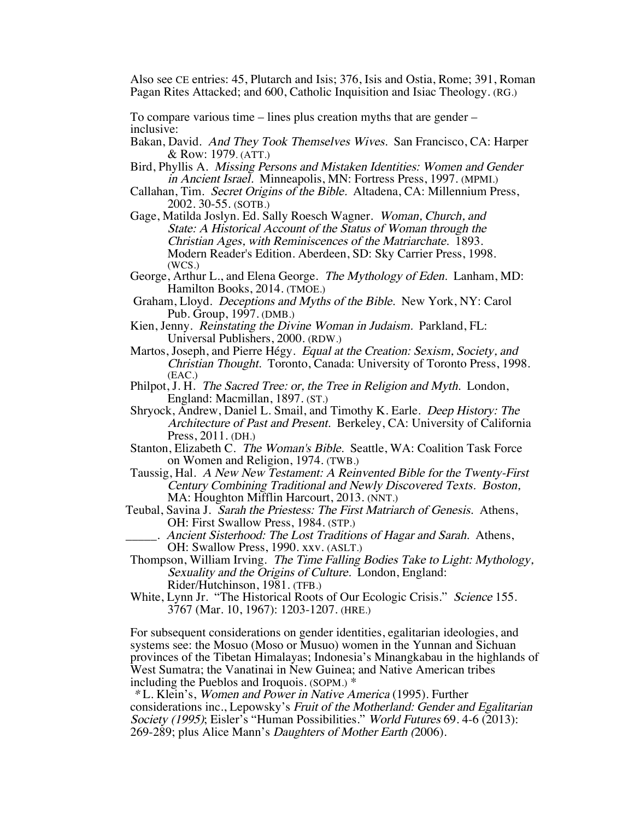Also see CE entries: 45, Plutarch and Isis; 376, Isis and Ostia, Rome; 391, Roman Pagan Rites Attacked; and 600, Catholic Inquisition and Isiac Theology. (RG.)

To compare various time  $-$  lines plus creation myths that are gender  $$ inclusive:

- Bakan, David. And They Took Themselves Wives. San Francisco, CA: Harper & Row: 1979. (ATT.)
- Bird, Phyllis A. Missing Persons and Mistaken Identities: Women and Gender in Ancient Israel. Minneapolis, MN: Fortress Press, 1997. (MPMI.)
- Callahan, Tim. Secret Origins of the Bible. Altadena, CA: Millennium Press, 2002. 30-55. (SOTB.)
- Gage, Matilda Joslyn. Ed. Sally Roesch Wagner. Woman, Church, and State: A Historical Account of the Status of Woman through the Christian Ages, with Reminiscences of the Matriarchate. 1893. Modern Reader's Edition. Aberdeen, SD: Sky Carrier Press, 1998. (WCS.)<br>George, Arthur L., and Elena George. *The Mythology of Eden*. Lanham, MD:
- Hamilton Books, 2014. (TMOE.)
- Graham, Lloyd. Deceptions and Myths of the Bible. New York, NY: Carol Pub. Group, 1997. (DMB.)
- Kien, Jenny. Reinstating the Divine Woman in Judaism. Parkland, FL: Universal Publishers, 2000. (RDW.)
- Martos, Joseph, and Pierre Hégy. Equal at the Creation: Sexism, Society, and Christian Thought. Toronto, Canada: University of Toronto Press, 1998. (EAC.)
- Philpot, J. H. The Sacred Tree: or, the Tree in Religion and Myth. London, England: Macmillan, 1897. (ST.)
- Shryock, Andrew, Daniel L. Smail, and Timothy K. Earle. Deep History: The Architecture of Past and Present. Berkeley, CA: University of California Press, 2011. (DH.)
- Stanton, Elizabeth C. The Woman's Bible. Seattle, WA: Coalition Task Force on Women and Religion, 1974. (TWB.)
- Taussig, Hal. A New New Testament: A Reinvented Bible for the Twenty-First Century Combining Traditional and Newly Discovered Texts. Boston, MA: Houghton Mifflin Harcourt, 2013. (NNT.)
- Teubal, Savina J. Sarah the Priestess: The First Matriarch of Genesis. Athens, OH: First Swallow Press, 1984. (STP.)
	- Ancient Sisterhood: The Lost Traditions of Hagar and Sarah. Athens, OH: Swallow Press, 1990. xxv. (ASLT.)
- Thompson, William Irving. The Time Falling Bodies Take to Light: Mythology, Sexuality and the Origins of Culture. London, England: Rider/Hutchinson, 1981. (TFB.)
- White, Lynn Jr. "The Historical Roots of Our Ecologic Crisis." Science 155. 3767 (Mar. 10, 1967): 1203-1207. (HRE.)

For subsequent considerations on gender identities, egalitarian ideologies, and systems see: the Mosuo (Moso or Musuo) women in the Yunnan and Sichuan provinces of the Tibetan Himalayas; Indonesia's Minangkabau in the highlands of West Sumatra; the Vanatinai in New Guinea; and Native American tribes including the Pueblos and Iroquois. (SOPM.) \*

\* L. Klein's, Women and Power in Native America (1995). Further considerations inc., Lepowsky's Fruit of the Motherland: Gender and Egalitarian Society (1995); Eisler's "Human Possibilities." World Futures 69. 4-6 (2013): 269-289; plus Alice Mann's Daughters of Mother Earth (2006).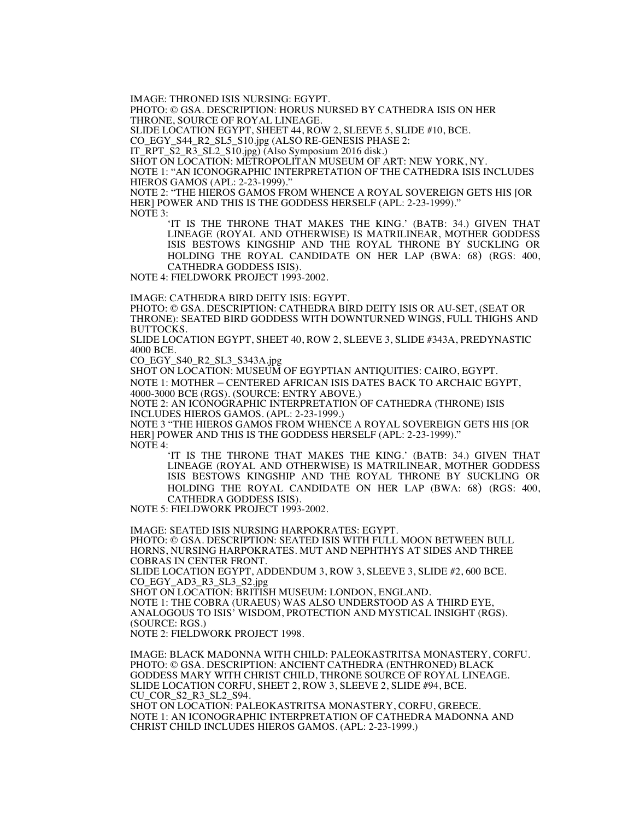IMAGE: THRONED ISIS NURSING: EGYPT.

PHOTO: © GSA. DESCRIPTION: HORUS NURSED BY CATHEDRA ISIS ON HER THRONE, SOURCE OF ROYAL LINEAGE.

SLIDE LOCATION EGYPT, SHEET 44, ROW 2, SLEEVE 5, SLIDE #10, BCE.

CO\_EGY\_S44\_R2\_SL5\_S10.jpg (ALSO RE-GENESIS PHASE 2:

IT\_RPT\_S2\_R3\_SL2\_S10.jpg) (Also Symposium 2016 disk.)

SHOT ON LOCATION: METROPOLITAN MUSEUM OF ART: NEW YORK, NY.

NOTE 1: "AN ICONOGRAPHIC INTERPRETATION OF THE CATHEDRA ISIS INCLUDES HIEROS GAMOS (APL: 2-23-1999)."

NOTE 2: "THE HIEROS GAMOS FROM WHENCE A ROYAL SOVEREIGN GETS HIS [OR HER] POWER AND THIS IS THE GODDESS HERSELF (APL: 2-23-1999)." NOTE 3:

'IT IS THE THRONE THAT MAKES THE KING.' (BATB: 34.) GIVEN THAT LINEAGE (ROYAL AND OTHERWISE) IS MATRILINEAR, MOTHER GODDESS ISIS BESTOWS KINGSHIP AND THE ROYAL THRONE BY SUCKLING OR HOLDING THE ROYAL CANDIDATE ON HER LAP (BWA: 68) (RGS: 400, CATHEDRA GODDESS ISIS).

NOTE 4: FIELDWORK PROJECT 1993-2002.

IMAGE: CATHEDRA BIRD DEITY ISIS: EGYPT.

PHOTO: © GSA. DESCRIPTION: CATHEDRA BIRD DEITY ISIS OR AU-SET, (SEAT OR THRONE): SEATED BIRD GODDESS WITH DOWNTURNED WINGS, FULL THIGHS AND BUTTOCKS.

SLIDE LOCATION EGYPT, SHEET 40, ROW 2, SLEEVE 3, SLIDE #343A, PREDYNASTIC 4000 BCE.

CO\_EGY\_S40\_R2\_SL3\_S343A.jpg

SHOT ON LOCATION: MUSEUM OF EGYPTIAN ANTIQUITIES: CAIRO, EGYPT.

NOTE 1: MOTHER – CENTERED AFRICAN ISIS DATES BACK TO ARCHAIC EGYPT, 4000-3000 BCE (RGS). (SOURCE: ENTRY ABOVE.)

NOTE 2: AN ICONOGRAPHIC INTERPRETATION OF CATHEDRA (THRONE) ISIS INCLUDES HIEROS GAMOS. (APL: 2-23-1999.)

NOTE 3 "THE HIEROS GAMOS FROM WHENCE A ROYAL SOVEREIGN GETS HIS [OR HER] POWER AND THIS IS THE GODDESS HERSELF (APL: 2-23-1999)." NOTE 4:

'IT IS THE THRONE THAT MAKES THE KING.' (BATB: 34.) GIVEN THAT LINEAGE (ROYAL AND OTHERWISE) IS MATRILINEAR, MOTHER GODDESS ISIS BESTOWS KINGSHIP AND THE ROYAL THRONE BY SUCKLING OR HOLDING THE ROYAL CANDIDATE ON HER LAP (BWA: 68) (RGS: 400, CATHEDRA GODDESS ISIS).

NOTE 5: FIELDWORK PROJECT 1993-2002.

IMAGE: SEATED ISIS NURSING HARPOKRATES: EGYPT.

PHOTO: © GSA. DESCRIPTION: SEATED ISIS WITH FULL MOON BETWEEN BULL HORNS, NURSING HARPOKRATES. MUT AND NEPHTHYS AT SIDES AND THREE COBRAS IN CENTER FRONT.

SLIDE LOCATION EGYPT, ADDENDUM 3, ROW 3, SLEEVE 3, SLIDE #2, 600 BCE. CO\_EGY\_AD3\_R3\_SL3\_S2.jpg

SHOT ON LOCATION: BRITISH MUSEUM: LONDON, ENGLAND.

NOTE 1: THE COBRA (URAEUS) WAS ALSO UNDERSTOOD AS A THIRD EYE, ANALOGOUS TO ISIS' WISDOM, PROTECTION AND MYSTICAL INSIGHT (RGS). (SOURCE: RGS.)

NOTE 2: FIELDWORK PROJECT 1998.

IMAGE: BLACK MADONNA WITH CHILD: PALEOKASTRITSA MONASTERY, CORFU. PHOTO: © GSA. DESCRIPTION: ANCIENT CATHEDRA (ENTHRONED) BLACK GODDESS MARY WITH CHRIST CHILD, THRONE SOURCE OF ROYAL LINEAGE. SLIDE LOCATION CORFU, SHEET 2, ROW 3, SLEEVE 2, SLIDE #94, BCE. CU\_COR\_S2\_R3\_SL2\_S94. SHOT ON LOCATION: PALEOKASTRITSA MONASTERY, CORFU, GREECE.

NOTE 1: AN ICONOGRAPHIC INTERPRETATION OF CATHEDRA MADONNA AND CHRIST CHILD INCLUDES HIEROS GAMOS. (APL: 2-23-1999.)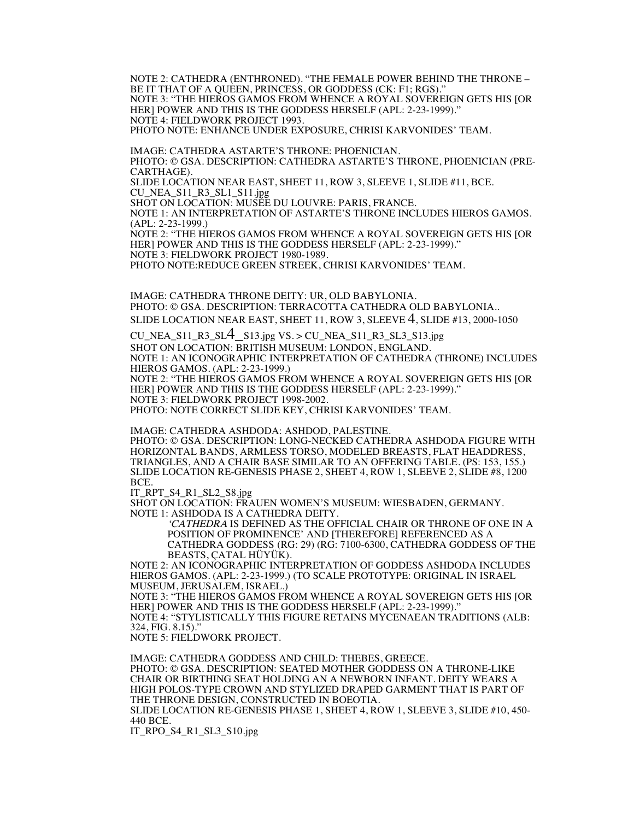NOTE 2: CATHEDRA (ENTHRONED). "THE FEMALE POWER BEHIND THE THRONE – BE IT THAT OF A QUEEN, PRINCESS, OR GODDESS (CK: F1; RGS)." NOTE 3: "THE HIEROS GAMOS FROM WHENCE A ROYAL SOVEREIGN GETS HIS [OR HER] POWER AND THIS IS THE GODDESS HERSELF (APL: 2-23-1999)." NOTE 4: FIELDWORK PROJECT 1993. PHOTO NOTE: ENHANCE UNDER EXPOSURE, CHRISI KARVONIDES' TEAM.

IMAGE: CATHEDRA ASTARTE'S THRONE: PHOENICIAN. PHOTO: © GSA. DESCRIPTION: CATHEDRA ASTARTE'S THRONE, PHOENICIAN (PRE-CARTHAGE).

SLIDE LOCATION NEAR EAST, SHEET 11, ROW 3, SLEEVE 1, SLIDE #11, BCE. CU\_NEA\_S11\_R3\_SL1\_S11.jpg

SHOT ON LOCATION: MUSÉE DU LOUVRE: PARIS, FRANCE.

NOTE 1: AN INTERPRETATION OF ASTARTE'S THRONE INCLUDES HIEROS GAMOS. (APL: 2-23-1999.)

NOTE 2: "THE HIEROS GAMOS FROM WHENCE A ROYAL SOVEREIGN GETS HIS [OR HER] POWER AND THIS IS THE GODDESS HERSELF (APL: 2-23-1999)." NOTE 3: FIELDWORK PROJECT 1980-1989.

PHOTO NOTE:REDUCE GREEN STREEK, CHRISI KARVONIDES' TEAM.

IMAGE: CATHEDRA THRONE DEITY: UR, OLD BABYLONIA. PHOTO: © GSA. DESCRIPTION: TERRACOTTA CATHEDRA OLD BABYLONIA.. SLIDE LOCATION NEAR EAST, SHEET 11, ROW 3, SLEEVE 4, SLIDE #13, 2000-1050

CU\_NEA\_S11\_R3\_SL $-$ S13.jpg VS. > CU\_NEA\_S11\_R3\_SL3\_S13.jpg SHOT ON LOCATION: BRITISH MUSEUM: LONDON, ENGLAND. NOTE 1: AN ICONOGRAPHIC INTERPRETATION OF CATHEDRA (THRONE) INCLUDES HIEROS GAMOS. (APL: 2-23-1999.)

NOTE 2: "THE HIEROS GAMOS FROM WHENCE A ROYAL SOVEREIGN GETS HIS [OR HER] POWER AND THIS IS THE GODDESS HERSELF (APL: 2-23-1999)." NOTE 3: FIELDWORK PROJECT 1998-2002.

PHOTO: NOTE CORRECT SLIDE KEY, CHRISI KARVONIDES' TEAM.

IMAGE: CATHEDRA ASHDODA: ASHDOD, PALESTINE.

PHOTO: © GSA. DESCRIPTION: LONG-NECKED CATHEDRA ASHDODA FIGURE WITH HORIZONTAL BANDS, ARMLESS TORSO, MODELED BREASTS, FLAT HEADDRESS, TRIANGLES, AND A CHAIR BASE SIMILAR TO AN OFFERING TABLE. (PS: 153, 155.) SLIDE LOCATION RE-GENESIS PHASE 2, SHEET 4, ROW 1, SLEEVE 2, SLIDE #8, 1200 BCE.

IT\_RPT\_S4\_R1\_SL2\_S8.jpg

SHOT ON LOCATION: FRAUEN WOMEN'S MUSEUM: WIESBADEN, GERMANY. NOTE 1: ASHDODA IS A CATHEDRA DEITY.

'CATHEDRA IS DEFINED AS THE OFFICIAL CHAIR OR THRONE OF ONE IN A POSITION OF PROMINENCE' AND [THEREFORE] REFERENCED AS A CATHEDRA GODDESS (RG: 29) (RG: 7100-6300, CATHEDRA GODDESS OF THE BEASTS, ÇATAL HÜYÜK).

NOTE 2: AN ICONOGRAPHIC INTERPRETATION OF GODDESS ASHDODA INCLUDES HIEROS GAMOS. (APL: 2-23-1999.) (TO SCALE PROTOTYPE: ORIGINAL IN ISRAEL MUSEUM, JERUSALEM, ISRAEL.)

NOTE 3: "THE HIEROS GAMOS FROM WHENCE A ROYAL SOVEREIGN GETS HIS [OR HER] POWER AND THIS IS THE GODDESS HERSELF (APL: 2-23-1999)." NOTE 4: "STYLISTICALLY THIS FIGURE RETAINS MYCENAEAN TRADITIONS (ALB:

324, FIG. 8.15)."

NOTE 5: FIELDWORK PROJECT.

IMAGE: CATHEDRA GODDESS AND CHILD: THEBES, GREECE. PHOTO: © GSA. DESCRIPTION: SEATED MOTHER GODDESS ON A THRONE-LIKE CHAIR OR BIRTHING SEAT HOLDING AN A NEWBORN INFANT. DEITY WEARS A HIGH POLOS-TYPE CROWN AND STYLIZED DRAPED GARMENT THAT IS PART OF THE THRONE DESIGN, CONSTRUCTED IN BOEOTIA. SLIDE LOCATION RE-GENESIS PHASE 1, SHEET 4, ROW 1, SLEEVE 3, SLIDE #10, 450- 440 BCE.

IT\_RPO\_S4\_R1\_SL3\_S10.jpg